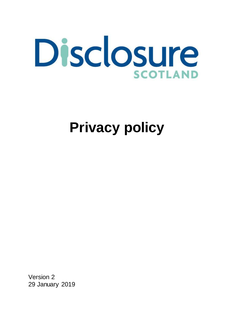

# **Privacy policy**

Version 2 29 January 2019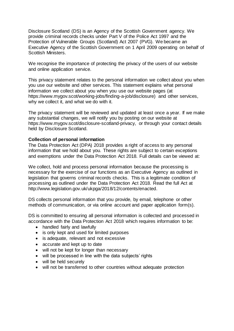Disclosure Scotland (DS) is an Agency of the Scottish Government agency. We provide criminal records checks under Part V of the Police Act 1997 and the Protection of Vulnerable Groups (Scotland) Act 2007 (PVG). We became an Executive Agency of the Scottish Government on 1 April 2009 operating on behalf of Scottish Ministers.

We recognise the importance of protecting the privacy of the users of our website and online application service.

This privacy statement relates to the personal information we collect about you when you use our website and other services. This statement explains what personal information we collect about you when you use our website pages (at [https://www.mygov.scot/working-jobs/finding-a-job/disclosure\)](https://www.mygov.scot/working-jobs/finding-a-job/disclosure) and other services, why we collect it, and what we do with it.

The privacy statement will be reviewed and updated at least once a year. If we make any substantial changes, we will notify you by posting on our website at [https://www.mygov.scot/disclosure-scotland-privacy,](https://www.mygov.scot/disclosure-scotland-privacy/) or through your contact details held by Disclosure Scotland.

# **Collection of personal information**

The Data Protection Act (DPA) 2018 provides a right of access to any personal information that we hold about you. These rights are subject to certain exceptions and exemptions under the Data Protection Act 2018. Full details can be viewed at:

We collect, hold and process personal information because the processing is necessary for the exercise of our functions as an Executive Agency as outlined in legislation that governs criminal records checks. This is a legitimate condition of processing as outlined under the Data Protection Act 2018. Read the full Act at [http://www.legislation.gov.uk/ukpga/2018/12/contents/enacted.](http://www.legislation.gov.uk/ukpga/2018/12/contents/enacted)

DS collects personal information that you provide, by email, telephone or other methods of communication, or via online account and paper application form(s).

DS is committed to ensuring all personal information is collected and processed in accordance with the Data Protection Act 2018 which requires information to be:

- handled fairly and lawfully
- is only kept and used for limited purposes
- is adequate, relevant and not excessive
- accurate and kept up to date
- will not be kept for longer than necessary
- will be processed in line with the data subjects' rights
- will be held securely
- will not be transferred to other countries without adequate protection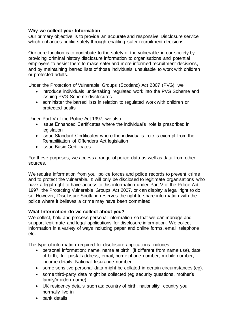# **Why we collect your Information**

Our primary objective is to provide an accurate and responsive Disclosure service which enhances public safety through enabling safer recruitment decisions.

Our core function is to contribute to the safety of the vulnerable in our society by providing criminal history disclosure information to organisations and potential employers to assist them to make safer and more informed recruitment decisions, and by maintaining barred lists of those individuals unsuitable to work with children or protected adults.

Under the Protection of Vulnerable Groups (Scotland) Act 2007 (PVG), we:

- introduce individuals undertaking regulated work into the PVG Scheme and issuing PVG Scheme disclosures
- administer the barred lists in relation to regulated work with children or protected adults

Under Part V of the Police Act 1997, we also:

- issue Enhanced Certificates where the individual's role is prescribed in **legislation**
- issue Standard Certificates where the individual's role is exempt from the Rehabilitation of Offenders Act legislation
- issue Basic Certificates

For these purposes, we access a range of police data as well as data from other sources.

We require information from you, police forces and police records to prevent crime and to protect the vulnerable. It will only be disclosed to legitimate organisations who have a legal right to have access to this information under Part V of the Police Act 1997, the Protecting Vulnerable Groups Act 2007, or can display a legal right to do so. However, Disclosure Scotland reserves the right to share information with the police where it believes a crime may have been committed.

# **What Information do we collect about you?**

We collect, hold and process personal information so that we can manage and support legitimate and legal applications for disclosure information. We collect information in a variety of ways including paper and online forms, email, telephone etc.

The type of information required for disclosure applications includes:

- personal information: name, name at birth, (if different from name use), date of birth, full postal address, email, home phone number, mobile number, income details, National Insurance number
- some sensitive personal data might be collated in certain circumstances (eg).
- some third-party data might be collected (eg security questions, mother's family/maiden name)
- UK residency details such as: country of birth, nationality, country you normally live in
- bank details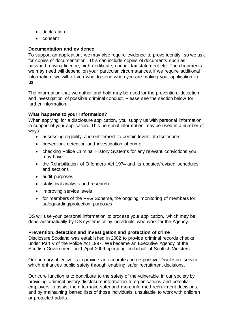- declaration
- consent

## **Documentation and evidence**

To support an application, we may also require evidence to prove identity, so we ask for copies of documentation. This can include copies of documents such as passport, driving licence, birth certificate, council tax statement etc. The documents we may need will depend on your particular circumstances. If we require additional information, we will tell you what to send when you are making your application to us.

The information that we gather and hold may be used for the prevention, detection and investigation of possible criminal conduct. Please see the section below for further information.

## **What happens to your Information?**

When applying for a disclosure application, you supply us with personal information in support of your application. This personal information may be used in a number of ways:

- assessing eligibility and entitlement to certain levels of disclosures
- prevention, detection and investigation of crime
- checking Police Criminal History Systems for any relevant convictions you may have
- the Rehabilitation of Offenders Act 1974 and its updated/revised schedules and sections
- audit purposes
- statistical analysis and research
- improving service levels
- for members of the PVG Scheme, the ongoing monitoring of members for safeguarding/protection purposes

DS will use your personal information to process your application, which may be done automatically by DS systems or by individuals who work for the Agency.

### **Prevention, detection and investigation and protection of crime**

Disclosure Scotland was established in 2002 to provide criminal records checks under Part V of the Police Act 1997. We became an Executive Agency of the Scottish Government on 1 April 2009 operating on behalf of Scottish Ministers.

Our primary objective is to provide an accurate and responsive Disclosure service which enhances public safety through enabling safer recruitment decisions.

Our core function is to contribute to the safety of the vulnerable in our society by providing criminal history disclosure information to organisations and potential employers to assist them to make safer and more informed recruitment decisions, and by maintaining barred lists of those individuals unsuitable to work with children or protected adults.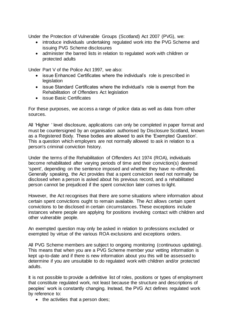Under the Protection of Vulnerable Groups (Scotland) Act 2007 (PVG), we:

- introduce individuals undertaking regulated work into the PVG Scheme and issuing PVG Scheme disclosures
- administer the barred lists in relation to regulated work with children or protected adults

Under Part V of the Police Act 1997, we also:

- issue Enhanced Certificates where the individual's role is prescribed in legislation
- issue Standard Certificates where the individual's role is exempt from the Rehabilitation of Offenders Act legislation
- issue Basic Certificates

For these purposes, we access a range of police data as well as data from other sources.

All 'Higher ' level disclosure, applications can only be completed in paper format and must be countersigned by an organisation authorised by Disclosure Scotland, known as a Registered Body. These bodies are allowed to ask the 'Exempted Question'. This a question which employers are not normally allowed to ask in relation to a person's criminal conviction history.

Under the terms of the Rehabilitation of Offenders Act 1974 (ROA), individuals become rehabilitated after varying periods of time and their conviction(s) deemed 'spent', depending on the sentence imposed and whether they have re-offended. Generally speaking, the Act provides that a spent conviction need not normally be disclosed when a person is asked about his previous record, and a rehabilitated person cannot be prejudiced if the spent conviction later comes to light.

However, the Act recognises that there are some situations where information about certain spent convictions ought to remain available. The Act allows certain spent convictions to be disclosed in certain circumstances. These exceptions include instances where people are applying for positions involving contact with children and other vulnerable people.

An exempted question may only be asked in relation to professions excluded or exempted by virtue of the various ROA exclusions and exceptions orders.

All PVG Scheme members are subject to ongoing monitoring (continuous updating). This means that when you are a PVG Scheme member your vetting information is kept up-to-date and if there is new information about you this will be assessed to determine if you are unsuitable to do regulated work with children and/or protected adults.

It is not possible to provide a definitive list of roles, positions or types of employment that constitute regulated work, not least because the structure and descriptions of peoples' work is constantly changing. Instead, the PVG Act defines regulated work by reference to:

• the activities that a person does;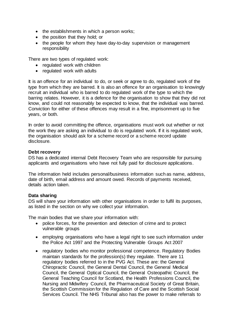- $\bullet$  the establishments in which a person works;
- the position that they hold; or
- the people for whom they have day-to-day supervision or management responsibility

There are two types of regulated work:

- regulated work with children
- regulated work with adults

It is an offence for an individual to do, or seek or agree to do, regulated work of the type from which they are barred. It is also an offence for an organisation to knowingly recruit an individual who is barred to do regulated work of the type to which the barring relates. However, it is a defence for the organisation to show that they did not know, and could not reasonably be expected to know, that the individual was barred. Conviction for either of these offences may result in a fine, imprisonment up to five years, or both.

In order to avoid committing the offence, organisations must work out whether or not the work they are asking an individual to do is regulated work. If it is regulated work, the organisation should ask for a scheme record or a scheme record update disclosure.

# **Debt recovery**

DS has a dedicated internal Debt Recovery Team who are responsible for pursuing applicants and organisations who have not fully paid for disclosure applications.

The information held includes personal/business information such as name, address, date of birth, email address and amount owed. Records of payments received, details action taken.

# **Data sharing**

DS will share your information with other organisations in order to fulfil its purposes, as listed in the section on why we collect your information.

The main bodies that we share your information with:

- police forces, for the prevention and detection of crime and to protect vulnerable groups
- employing organisations who have a legal right to see such information under the Police Act 1997 and the Protecting Vulnerable Groups Act 2007
- regulatory bodies who monitor professional competence. Regulatory Bodies maintain standards for the profession(s) they regulate. There are 11 regulatory bodies referred to in the PVG Act. These are: the General Chiropractic Council, the General Dental Council, the General Medical Council, the General Optical Council, the General Osteopathic Council, the General Teaching Council for Scotland, the Health Professions Council, the Nursing and Midwifery Council, the Pharmaceutical Society of Great Britain, the Scottish Commission for the Regulation of Care and the Scottish Social Services Council. The NHS Tribunal also has the power to make referrals to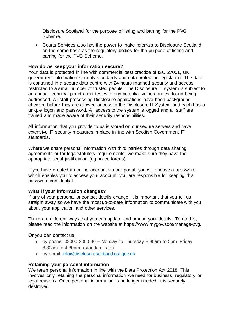Disclosure Scotland for the purpose of listing and barring for the PVG Scheme.

 Courts Services also has the power to make referrals to Disclosure Scotland on the same basis as the regulatory bodies for the purpose of listing and barring for the PVG Scheme.

## **How do we keep your information secure?**

Your data is protected in line with commercial best practice of ISO 27001, UK government information security standards and data protection legislation. The data is contained in a secure data centre with 24 hours manned security and access restricted to a small number of trusted people. The Disclosure IT system is subject to an annual technical penetration test with any potential vulnerabilities found being addressed. All staff processing Disclosure applications have been background checked before they are allowed access to the Disclosure IT System and each has a unique logon and password. All access to the system is logged and all staff are trained and made aware of their security responsibilities.

All information that you provide to us is stored on our secure servers and have extensive IT security measures in place in line with Scottish Government IT standards.

Where we share personal information with third parties through data sharing agreements or for legal/statutory requirements, we make sure they have the appropriate legal justification (eg police forces).

If you have created an online account via our portal, you will choose a password which enables you to access your account; you are responsible for keeping this password confidential.

### **What if your information changes?**

If any of your personal or contact details change, it is important that you tell us straight away so we have the most up-to-date information to communicate with you about your application and other services.

There are different ways that you can update and amend your details. To do this, please read the information on the website at [https://www.mygov.scot/manage-pvg.](https://www.mygov.scot/manage-pvg/) 

Or you can contact us:

- by phone: 03000 2000 40 Monday to Thursday 8.30am to 5pm, Friday 8.30am to 4.30pm, (standard rate)
- by email: [info@disclosurescotland.gsi.gov.uk](mailto:info@disclosurescotland.gsi.gov.uk)

# **Retaining your personal information**

We retain personal information in line with the Data Protection Act 2018. This involves only retaining the personal information we need for business, regulatory or legal reasons. Once personal information is no longer needed, it is securely destroyed.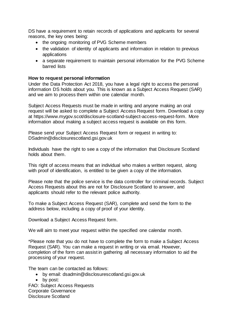DS have a requirement to retain records of applications and applicants for several reasons, the key ones being:

- the ongoing monitoring of PVG Scheme members
- the validation of identity of applicants and information in relation to previous applications
- a separate requirement to maintain personal information for the PVG Scheme barred lists

# **How to request personal information**

Under the Data Protection Act 2018, you have a legal right to access the personal information DS holds about you. This is known as a Subject Access Request (SAR) and we aim to process them within one calendar month.

Subject Access Requests must be made in writing and anyone making an oral request will be asked to complete a Subject Access Request form. Download a copy at [https://www.mygov.scot/disclosure-scotland-subject-access-request-form.](https://www.mygov.scot/disclosure-scotland-subject-access-request-form) More information about making a subject access request is available on this form.

Please send your Subject Access Request form or request in writing to: [DSadmin@disclosurescotland.gsi.gov.uk](mailto:DSadmin@disclosurescotland.gsi.gov.uk)

Individuals have the right to see a copy of the information that Disclosure Scotland holds about them.

This right of access means that an individual who makes a written request, along with proof of identification, is entitled to be given a copy of the information.

Please note that the police service is the data controller for criminal records. Subject Access Requests about this are not for Disclosure Scotland to answer, and applicants should refer to the relevant police authority.

To make a Subject Access Request (SAR), complete and send the form to the address below, including a copy of proof of your identity.

[Download a Subject Access Request](https://www.mygov.scot/disclosure-scotland-subject-access-request-form/) form.

We will aim to meet your request within the specified one calendar month.

\*Please note that you do not have to complete the form to make a Subject Access Request (SAR). You can make a request in writing or via email. However, completion of the form can assist in gathering all necessary information to aid the processing of your request.

The team can be contacted as follows:

- by email: [dsadmin@disclosurescotland.gsi.gov.uk](mailto:dsadmin@disclosurescotland.gsi.gov.uk)
- by post:

FAO: Subject Access Requests Corporate Governance Disclosure Scotland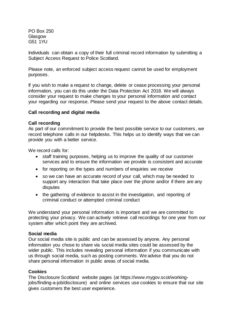PO Box 250 **Glasgow** G51 1YU

Individuals can obtain a copy of their full criminal record information by submitting a Subject Access Request to Police Scotland.

Please note, an enforced subject access request cannot be used for employment purposes.

If you wish to make a request to change, delete or cease processing your personal information, you can do this under the Data Protection Act 2018. We will always consider your request to make changes to your personal information and contact your regarding our response. Please send your request to the above contact details.

## **Call recording and digital media**

### **Call recording**

As part of our commitment to provide the best possible service to our customers, we record telephone calls in our helpdesks. This helps us to identify ways that we can provide you with a better service.

We record calls for:

- staff training purposes, helping us to improve the quality of our customer services and to ensure the information we provide is consistent and accurate
- for reporting on the types and numbers of enquiries we receive
- so we can have an accurate record of your call, which may be needed to support any interaction that take place over the phone and/or if there are any disputes
- the gathering of evidence to assist in the investigation, and reporting of criminal conduct or attempted criminal conduct

We understand your personal information is important and we are committed to protecting your privacy. We can actively retrieve call recordings for one year from our system after which point they are archived.

### **Social media**

Our social media site is public and can be assessed by anyone. Any personal information you chose to share via social media sites could be assessed by the wider public. This includes revealing personal information if you communicate with us through social media, such as posting comments. We advise that you do not share personal information in public areas of social media.

### **Cookies**

The Disclosure Scotland website pages (at [https://www.mygov.scot/working](https://www.mygov.scot/working-jobs/finding-a-job/disclosure)[jobs/finding-a-job/disclosure\)](https://www.mygov.scot/working-jobs/finding-a-job/disclosure) and online services use cookies to ensure that our site gives customers the best user experience.